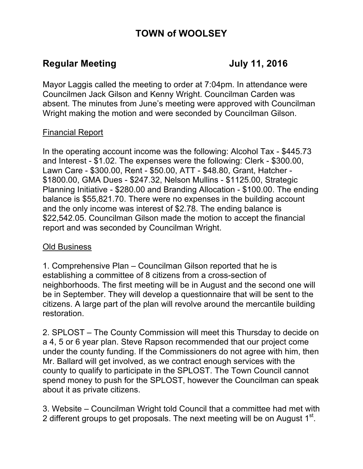# **TOWN of WOOLSEY**

## **Regular Meeting Constraint Constraint Constraint Constraint Constraint Constraint Constraint Constraint Constraint Construction Construction Construction Construction Construction Construction Construction Construction Co**

Mayor Laggis called the meeting to order at 7:04pm. In attendance were Councilmen Jack Gilson and Kenny Wright. Councilman Carden was absent. The minutes from June's meeting were approved with Councilman Wright making the motion and were seconded by Councilman Gilson.

### Financial Report

In the operating account income was the following: Alcohol Tax - \$445.73 and Interest - \$1.02. The expenses were the following: Clerk - \$300.00, Lawn Care - \$300.00, Rent - \$50.00, ATT - \$48.80, Grant, Hatcher - \$1800.00, GMA Dues - \$247.32, Nelson Mullins - \$1125.00, Strategic Planning Initiative - \$280.00 and Branding Allocation - \$100.00. The ending balance is \$55,821.70. There were no expenses in the building account and the only income was interest of \$2.78. The ending balance is \$22,542.05. Councilman Gilson made the motion to accept the financial report and was seconded by Councilman Wright.

### Old Business

1. Comprehensive Plan – Councilman Gilson reported that he is establishing a committee of 8 citizens from a cross-section of neighborhoods. The first meeting will be in August and the second one will be in September. They will develop a questionnaire that will be sent to the citizens. A large part of the plan will revolve around the mercantile building restoration.

2. SPLOST – The County Commission will meet this Thursday to decide on a 4, 5 or 6 year plan. Steve Rapson recommended that our project come under the county funding. If the Commissioners do not agree with him, then Mr. Ballard will get involved, as we contract enough services with the county to qualify to participate in the SPLOST. The Town Council cannot spend money to push for the SPLOST, however the Councilman can speak about it as private citizens.

3. Website – Councilman Wright told Council that a committee had met with 2 different groups to get proposals. The next meeting will be on August 1<sup>st</sup>.